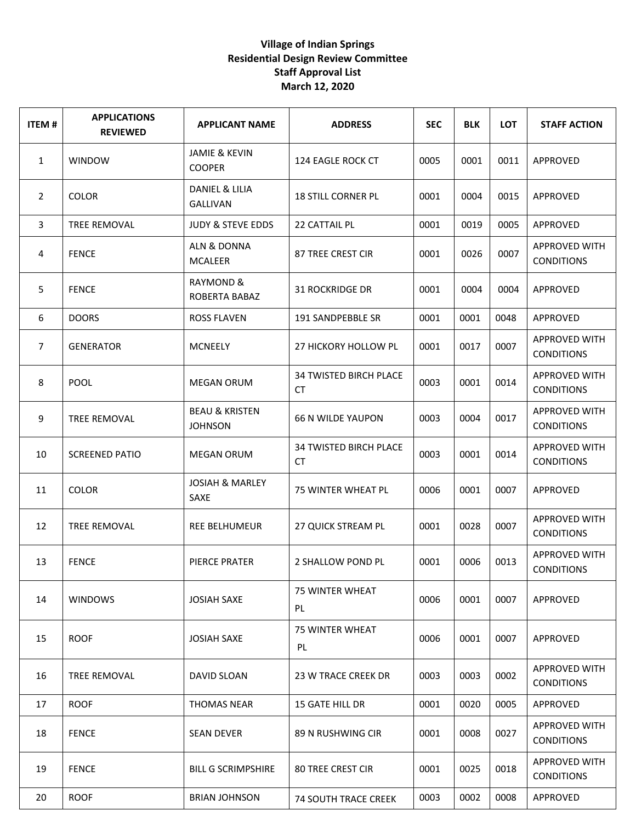| <b>ITEM#</b>   | <b>APPLICATIONS</b><br><b>REVIEWED</b> | <b>APPLICANT NAME</b>                       | <b>ADDRESS</b>                             | <b>SEC</b> | <b>BLK</b> | <b>LOT</b> | <b>STAFF ACTION</b>                       |
|----------------|----------------------------------------|---------------------------------------------|--------------------------------------------|------------|------------|------------|-------------------------------------------|
| 1              | <b>WINDOW</b>                          | <b>JAMIE &amp; KEVIN</b><br><b>COOPER</b>   | 124 EAGLE ROCK CT                          | 0005       | 0001       | 0011       | APPROVED                                  |
| $\overline{2}$ | <b>COLOR</b>                           | DANIEL & LILIA<br><b>GALLIVAN</b>           | <b>18 STILL CORNER PL</b>                  | 0001       | 0004       | 0015       | APPROVED                                  |
| 3              | TREE REMOVAL                           | <b>JUDY &amp; STEVE EDDS</b>                | 22 CATTAIL PL                              | 0001       | 0019       | 0005       | APPROVED                                  |
| 4              | <b>FENCE</b>                           | ALN & DONNA<br><b>MCALEER</b>               | 87 TREE CREST CIR                          | 0001       | 0026       | 0007       | APPROVED WITH<br><b>CONDITIONS</b>        |
| 5              | <b>FENCE</b>                           | <b>RAYMOND &amp;</b><br>ROBERTA BABAZ       | <b>31 ROCKRIDGE DR</b>                     | 0001       | 0004       | 0004       | APPROVED                                  |
| 6              | <b>DOORS</b>                           | <b>ROSS FLAVEN</b>                          | 191 SANDPEBBLE SR                          | 0001       | 0001       | 0048       | APPROVED                                  |
| $\overline{7}$ | <b>GENERATOR</b>                       | <b>MCNEELY</b>                              | 27 HICKORY HOLLOW PL                       | 0001       | 0017       | 0007       | <b>APPROVED WITH</b><br><b>CONDITIONS</b> |
| 8              | <b>POOL</b>                            | <b>MEGAN ORUM</b>                           | <b>34 TWISTED BIRCH PLACE</b><br>CT        | 0003       | 0001       | 0014       | <b>APPROVED WITH</b><br><b>CONDITIONS</b> |
| 9              | <b>TREE REMOVAL</b>                    | <b>BEAU &amp; KRISTEN</b><br><b>JOHNSON</b> | <b>66 N WILDE YAUPON</b>                   | 0003       | 0004       | 0017       | APPROVED WITH<br><b>CONDITIONS</b>        |
| 10             | <b>SCREENED PATIO</b>                  | <b>MEGAN ORUM</b>                           | <b>34 TWISTED BIRCH PLACE</b><br><b>CT</b> | 0003       | 0001       | 0014       | APPROVED WITH<br><b>CONDITIONS</b>        |
| 11             | <b>COLOR</b>                           | <b>JOSIAH &amp; MARLEY</b><br>SAXE          | 75 WINTER WHEAT PL                         | 0006       | 0001       | 0007       | APPROVED                                  |
| 12             | TREE REMOVAL                           | <b>REE BELHUMEUR</b>                        | 27 QUICK STREAM PL                         | 0001       | 0028       | 0007       | <b>APPROVED WITH</b><br><b>CONDITIONS</b> |
| 13             | <b>FENCE</b>                           | PIERCE PRATER                               | 2 SHALLOW POND PL                          | 0001       | 0006       | 0013       | APPROVED WITH<br><b>CONDITIONS</b>        |
| 14             | <b>WINDOWS</b>                         | <b>JOSIAH SAXE</b>                          | <b>75 WINTER WHEAT</b><br>PL.              | 0006       | 0001       | 0007       | APPROVED                                  |
| 15             | <b>ROOF</b>                            | <b>JOSIAH SAXE</b>                          | <b>75 WINTER WHEAT</b><br>PL.              | 0006       | 0001       | 0007       | APPROVED                                  |
| 16             | TREE REMOVAL                           | DAVID SLOAN                                 | <b>23 W TRACE CREEK DR</b>                 | 0003       | 0003       | 0002       | APPROVED WITH<br><b>CONDITIONS</b>        |
| 17             | <b>ROOF</b>                            | <b>THOMAS NEAR</b>                          | 15 GATE HILL DR                            | 0001       | 0020       | 0005       | APPROVED                                  |
| 18             | <b>FENCE</b>                           | <b>SEAN DEVER</b>                           | 89 N RUSHWING CIR                          | 0001       | 0008       | 0027       | <b>APPROVED WITH</b><br><b>CONDITIONS</b> |
| 19             | <b>FENCE</b>                           | <b>BILL G SCRIMPSHIRE</b>                   | <b>80 TREE CREST CIR</b>                   | 0001       | 0025       | 0018       | APPROVED WITH<br><b>CONDITIONS</b>        |
| 20             | <b>ROOF</b>                            | <b>BRIAN JOHNSON</b>                        | <b>74 SOUTH TRACE CREEK</b>                | 0003       | 0002       | 0008       | APPROVED                                  |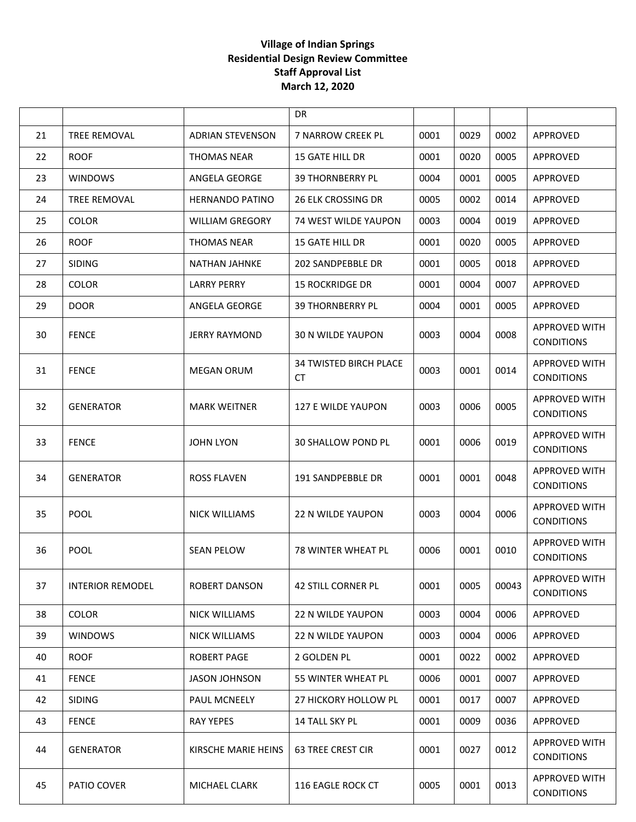|    |                         |                         | DR.                                  |      |      |       |                                           |
|----|-------------------------|-------------------------|--------------------------------------|------|------|-------|-------------------------------------------|
| 21 | <b>TREE REMOVAL</b>     | <b>ADRIAN STEVENSON</b> | 7 NARROW CREEK PL                    | 0001 | 0029 | 0002  | APPROVED                                  |
| 22 | <b>ROOF</b>             | <b>THOMAS NEAR</b>      | 15 GATE HILL DR                      | 0001 | 0020 | 0005  | APPROVED                                  |
| 23 | <b>WINDOWS</b>          | ANGELA GEORGE           | <b>39 THORNBERRY PL</b>              | 0004 | 0001 | 0005  | APPROVED                                  |
| 24 | TREE REMOVAL            | <b>HERNANDO PATINO</b>  | <b>26 ELK CROSSING DR</b>            | 0005 | 0002 | 0014  | APPROVED                                  |
| 25 | <b>COLOR</b>            | <b>WILLIAM GREGORY</b>  | <b>74 WEST WILDE YAUPON</b>          | 0003 | 0004 | 0019  | APPROVED                                  |
| 26 | <b>ROOF</b>             | THOMAS NEAR             | <b>15 GATE HILL DR</b>               | 0001 | 0020 | 0005  | APPROVED                                  |
| 27 | <b>SIDING</b>           | <b>NATHAN JAHNKE</b>    | 202 SANDPEBBLE DR                    | 0001 | 0005 | 0018  | APPROVED                                  |
| 28 | <b>COLOR</b>            | <b>LARRY PERRY</b>      | <b>15 ROCKRIDGE DR</b>               | 0001 | 0004 | 0007  | APPROVED                                  |
| 29 | <b>DOOR</b>             | ANGELA GEORGE           | <b>39 THORNBERRY PL</b>              | 0004 | 0001 | 0005  | APPROVED                                  |
| 30 | <b>FENCE</b>            | <b>JERRY RAYMOND</b>    | 30 N WILDE YAUPON                    | 0003 | 0004 | 0008  | <b>APPROVED WITH</b><br><b>CONDITIONS</b> |
| 31 | <b>FENCE</b>            | <b>MEGAN ORUM</b>       | <b>34 TWISTED BIRCH PLACE</b><br>CT. | 0003 | 0001 | 0014  | APPROVED WITH<br><b>CONDITIONS</b>        |
| 32 | <b>GENERATOR</b>        | <b>MARK WEITNER</b>     | 127 E WILDE YAUPON                   | 0003 | 0006 | 0005  | <b>APPROVED WITH</b><br><b>CONDITIONS</b> |
| 33 | <b>FENCE</b>            | <b>JOHN LYON</b>        | 30 SHALLOW POND PL                   | 0001 | 0006 | 0019  | <b>APPROVED WITH</b><br><b>CONDITIONS</b> |
| 34 | <b>GENERATOR</b>        | <b>ROSS FLAVEN</b>      | 191 SANDPEBBLE DR                    | 0001 | 0001 | 0048  | <b>APPROVED WITH</b><br><b>CONDITIONS</b> |
| 35 | <b>POOL</b>             | <b>NICK WILLIAMS</b>    | <b>22 N WILDE YAUPON</b>             | 0003 | 0004 | 0006  | <b>APPROVED WITH</b><br><b>CONDITIONS</b> |
| 36 | <b>POOL</b>             | <b>SEAN PELOW</b>       | <b>78 WINTER WHEAT PL</b>            | 0006 | 0001 | 0010  | <b>APPROVED WITH</b><br><b>CONDITIONS</b> |
| 37 | <b>INTERIOR REMODEL</b> | <b>ROBERT DANSON</b>    | <b>42 STILL CORNER PL</b>            | 0001 | 0005 | 00043 | <b>APPROVED WITH</b><br><b>CONDITIONS</b> |
| 38 | <b>COLOR</b>            | <b>NICK WILLIAMS</b>    | <b>22 N WILDE YAUPON</b>             | 0003 | 0004 | 0006  | APPROVED                                  |
| 39 | <b>WINDOWS</b>          | <b>NICK WILLIAMS</b>    | <b>22 N WILDE YAUPON</b>             | 0003 | 0004 | 0006  | APPROVED                                  |
| 40 | <b>ROOF</b>             | <b>ROBERT PAGE</b>      | 2 GOLDEN PL                          | 0001 | 0022 | 0002  | APPROVED                                  |
| 41 | <b>FENCE</b>            | JASON JOHNSON           | 55 WINTER WHEAT PL                   | 0006 | 0001 | 0007  | APPROVED                                  |
| 42 | <b>SIDING</b>           | PAUL MCNEELY            | 27 HICKORY HOLLOW PL                 | 0001 | 0017 | 0007  | APPROVED                                  |
| 43 | <b>FENCE</b>            | <b>RAY YEPES</b>        | 14 TALL SKY PL                       | 0001 | 0009 | 0036  | APPROVED                                  |
| 44 | <b>GENERATOR</b>        | KIRSCHE MARIE HEINS     | <b>63 TREE CREST CIR</b>             | 0001 | 0027 | 0012  | APPROVED WITH<br><b>CONDITIONS</b>        |
| 45 | PATIO COVER             | MICHAEL CLARK           | 116 EAGLE ROCK CT                    | 0005 | 0001 | 0013  | APPROVED WITH<br><b>CONDITIONS</b>        |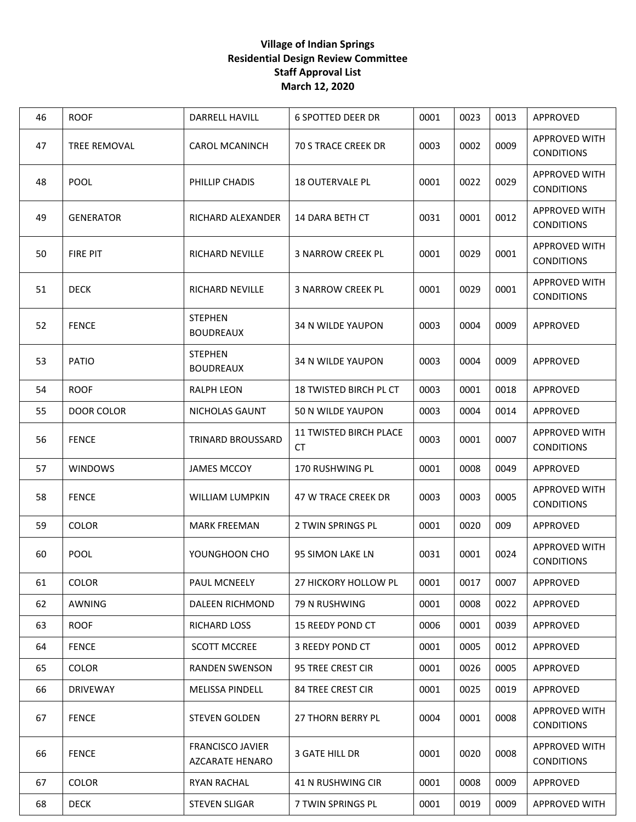| 46 | <b>ROOF</b>         | DARRELL HAVILL                                    | <b>6 SPOTTED DEER DR</b>             | 0001 | 0023 | 0013 | APPROVED                                  |
|----|---------------------|---------------------------------------------------|--------------------------------------|------|------|------|-------------------------------------------|
| 47 | <b>TREE REMOVAL</b> | <b>CAROL MCANINCH</b>                             | <b>70 S TRACE CREEK DR</b>           | 0003 | 0002 | 0009 | <b>APPROVED WITH</b><br><b>CONDITIONS</b> |
| 48 | <b>POOL</b>         | PHILLIP CHADIS                                    | <b>18 OUTERVALE PL</b>               | 0001 | 0022 | 0029 | <b>APPROVED WITH</b><br><b>CONDITIONS</b> |
| 49 | <b>GENERATOR</b>    | RICHARD ALEXANDER                                 | 14 DARA BETH CT                      | 0031 | 0001 | 0012 | <b>APPROVED WITH</b><br><b>CONDITIONS</b> |
| 50 | FIRE PIT            | <b>RICHARD NEVILLE</b>                            | <b>3 NARROW CREEK PL</b>             | 0001 | 0029 | 0001 | <b>APPROVED WITH</b><br><b>CONDITIONS</b> |
| 51 | <b>DECK</b>         | <b>RICHARD NEVILLE</b>                            | <b>3 NARROW CREEK PL</b>             | 0001 | 0029 | 0001 | <b>APPROVED WITH</b><br><b>CONDITIONS</b> |
| 52 | <b>FENCE</b>        | <b>STEPHEN</b><br><b>BOUDREAUX</b>                | <b>34 N WILDE YAUPON</b>             | 0003 | 0004 | 0009 | APPROVED                                  |
| 53 | <b>PATIO</b>        | <b>STEPHEN</b><br><b>BOUDREAUX</b>                | <b>34 N WILDE YAUPON</b>             | 0003 | 0004 | 0009 | APPROVED                                  |
| 54 | <b>ROOF</b>         | <b>RALPH LEON</b>                                 | 18 TWISTED BIRCH PL CT               | 0003 | 0001 | 0018 | APPROVED                                  |
| 55 | <b>DOOR COLOR</b>   | NICHOLAS GAUNT                                    | 50 N WILDE YAUPON                    | 0003 | 0004 | 0014 | APPROVED                                  |
| 56 | <b>FENCE</b>        | <b>TRINARD BROUSSARD</b>                          | <b>11 TWISTED BIRCH PLACE</b><br>CT. | 0003 | 0001 | 0007 | <b>APPROVED WITH</b><br><b>CONDITIONS</b> |
| 57 | <b>WINDOWS</b>      | <b>JAMES MCCOY</b>                                | 170 RUSHWING PL                      | 0001 | 0008 | 0049 | APPROVED                                  |
| 58 | <b>FENCE</b>        | <b>WILLIAM LUMPKIN</b>                            | 47 W TRACE CREEK DR                  | 0003 | 0003 | 0005 | <b>APPROVED WITH</b><br><b>CONDITIONS</b> |
| 59 | <b>COLOR</b>        | <b>MARK FREEMAN</b>                               | 2 TWIN SPRINGS PL                    | 0001 | 0020 | 009  | APPROVED                                  |
| 60 | <b>POOL</b>         | YOUNGHOON CHO                                     | 95 SIMON LAKE LN                     | 0031 | 0001 | 0024 | <b>APPROVED WITH</b><br><b>CONDITIONS</b> |
| 61 | COLOR               | PAUL MCNEELY                                      | 27 HICKORY HOLLOW PL                 | 0001 | 0017 | 0007 | APPROVED                                  |
| 62 | AWNING              | DALEEN RICHMOND                                   | 79 N RUSHWING                        | 0001 | 0008 | 0022 | APPROVED                                  |
| 63 | <b>ROOF</b>         | <b>RICHARD LOSS</b>                               | 15 REEDY POND CT                     | 0006 | 0001 | 0039 | APPROVED                                  |
| 64 | <b>FENCE</b>        | <b>SCOTT MCCREE</b>                               | 3 REEDY POND CT                      | 0001 | 0005 | 0012 | APPROVED                                  |
| 65 | <b>COLOR</b>        | <b>RANDEN SWENSON</b>                             | 95 TREE CREST CIR                    | 0001 | 0026 | 0005 | APPROVED                                  |
| 66 | <b>DRIVEWAY</b>     | <b>MELISSA PINDELL</b>                            | <b>84 TREE CREST CIR</b>             | 0001 | 0025 | 0019 | APPROVED                                  |
| 67 | <b>FENCE</b>        | <b>STEVEN GOLDEN</b>                              | <b>27 THORN BERRY PL</b>             | 0004 | 0001 | 0008 | <b>APPROVED WITH</b><br><b>CONDITIONS</b> |
| 66 | <b>FENCE</b>        | <b>FRANCISCO JAVIER</b><br><b>AZCARATE HENARO</b> | 3 GATE HILL DR                       | 0001 | 0020 | 0008 | <b>APPROVED WITH</b><br><b>CONDITIONS</b> |
| 67 | <b>COLOR</b>        | <b>RYAN RACHAL</b>                                | 41 N RUSHWING CIR                    | 0001 | 0008 | 0009 | APPROVED                                  |
| 68 | <b>DECK</b>         | <b>STEVEN SLIGAR</b>                              | 7 TWIN SPRINGS PL                    | 0001 | 0019 | 0009 | APPROVED WITH                             |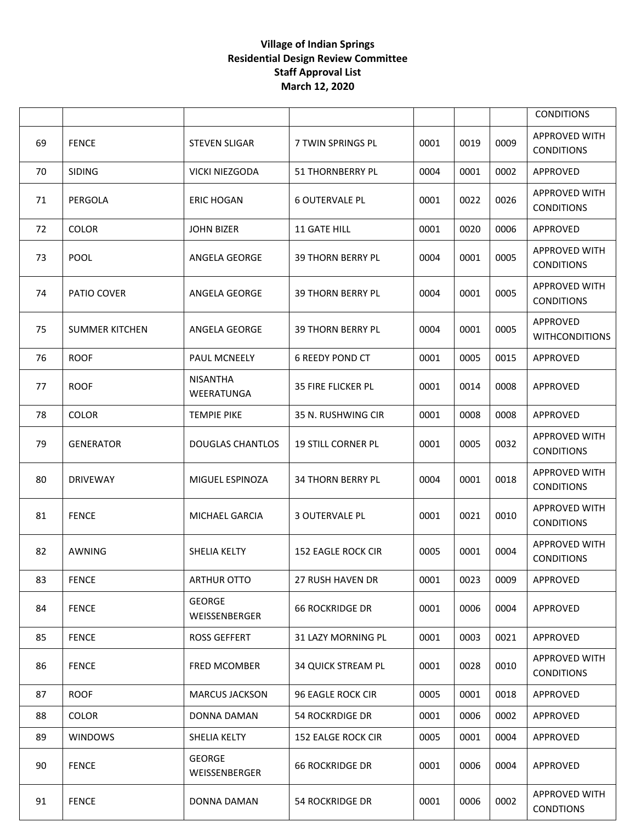|    |                       |                                |                           |      |      |      | <b>CONDITIONS</b>                         |
|----|-----------------------|--------------------------------|---------------------------|------|------|------|-------------------------------------------|
| 69 | <b>FENCE</b>          | <b>STEVEN SLIGAR</b>           | 7 TWIN SPRINGS PL         | 0001 | 0019 | 0009 | <b>APPROVED WITH</b><br><b>CONDITIONS</b> |
| 70 | <b>SIDING</b>         | <b>VICKI NIEZGODA</b>          | <b>51 THORNBERRY PL</b>   | 0004 | 0001 | 0002 | APPROVED                                  |
| 71 | PERGOLA               | <b>ERIC HOGAN</b>              | <b>6 OUTERVALE PL</b>     | 0001 | 0022 | 0026 | <b>APPROVED WITH</b><br><b>CONDITIONS</b> |
| 72 | <b>COLOR</b>          | <b>JOHN BIZER</b>              | 11 GATE HILL              | 0001 | 0020 | 0006 | APPROVED                                  |
| 73 | <b>POOL</b>           | ANGELA GEORGE                  | <b>39 THORN BERRY PL</b>  | 0004 | 0001 | 0005 | <b>APPROVED WITH</b><br><b>CONDITIONS</b> |
| 74 | PATIO COVER           | ANGELA GEORGE                  | <b>39 THORN BERRY PL</b>  | 0004 | 0001 | 0005 | <b>APPROVED WITH</b><br><b>CONDITIONS</b> |
| 75 | <b>SUMMER KITCHEN</b> | ANGELA GEORGE                  | <b>39 THORN BERRY PL</b>  | 0004 | 0001 | 0005 | APPROVED<br><b>WITHCONDITIONS</b>         |
| 76 | <b>ROOF</b>           | PAUL MCNEELY                   | <b>6 REEDY POND CT</b>    | 0001 | 0005 | 0015 | APPROVED                                  |
| 77 | <b>ROOF</b>           | <b>NISANTHA</b><br>WEERATUNGA  | <b>35 FIRE FLICKER PL</b> | 0001 | 0014 | 0008 | APPROVED                                  |
| 78 | <b>COLOR</b>          | <b>TEMPIE PIKE</b>             | 35 N. RUSHWING CIR        | 0001 | 0008 | 0008 | APPROVED                                  |
| 79 | <b>GENERATOR</b>      | <b>DOUGLAS CHANTLOS</b>        | <b>19 STILL CORNER PL</b> | 0001 | 0005 | 0032 | <b>APPROVED WITH</b><br><b>CONDITIONS</b> |
| 80 | <b>DRIVEWAY</b>       | MIGUEL ESPINOZA                | <b>34 THORN BERRY PL</b>  | 0004 | 0001 | 0018 | <b>APPROVED WITH</b><br><b>CONDITIONS</b> |
| 81 | <b>FENCE</b>          | MICHAEL GARCIA                 | <b>3 OUTERVALE PL</b>     | 0001 | 0021 | 0010 | <b>APPROVED WITH</b><br><b>CONDITIONS</b> |
| 82 | <b>AWNING</b>         | SHELIA KELTY                   | <b>152 EAGLE ROCK CIR</b> | 0005 | 0001 | 0004 | <b>APPROVED WITH</b><br><b>CONDITIONS</b> |
| 83 | <b>FENCE</b>          | <b>ARTHUR OTTO</b>             | <b>27 RUSH HAVEN DR</b>   | 0001 | 0023 | 0009 | APPROVED                                  |
| 84 | <b>FENCE</b>          | <b>GEORGE</b><br>WEISSENBERGER | <b>66 ROCKRIDGE DR</b>    | 0001 | 0006 | 0004 | APPROVED                                  |
| 85 | <b>FENCE</b>          | <b>ROSS GEFFERT</b>            | <b>31 LAZY MORNING PL</b> | 0001 | 0003 | 0021 | APPROVED                                  |
| 86 | <b>FENCE</b>          | <b>FRED MCOMBER</b>            | <b>34 QUICK STREAM PL</b> | 0001 | 0028 | 0010 | APPROVED WITH<br><b>CONDITIONS</b>        |
| 87 | <b>ROOF</b>           | <b>MARCUS JACKSON</b>          | <b>96 EAGLE ROCK CIR</b>  | 0005 | 0001 | 0018 | APPROVED                                  |
| 88 | <b>COLOR</b>          | DONNA DAMAN                    | <b>54 ROCKRDIGE DR</b>    | 0001 | 0006 | 0002 | APPROVED                                  |
| 89 | <b>WINDOWS</b>        | SHELIA KELTY                   | <b>152 EALGE ROCK CIR</b> | 0005 | 0001 | 0004 | APPROVED                                  |
| 90 | <b>FENCE</b>          | <b>GEORGE</b><br>WEISSENBERGER | <b>66 ROCKRIDGE DR</b>    | 0001 | 0006 | 0004 | APPROVED                                  |
| 91 | <b>FENCE</b>          | DONNA DAMAN                    | <b>54 ROCKRIDGE DR</b>    | 0001 | 0006 | 0002 | <b>APPROVED WITH</b><br><b>CONDTIONS</b>  |